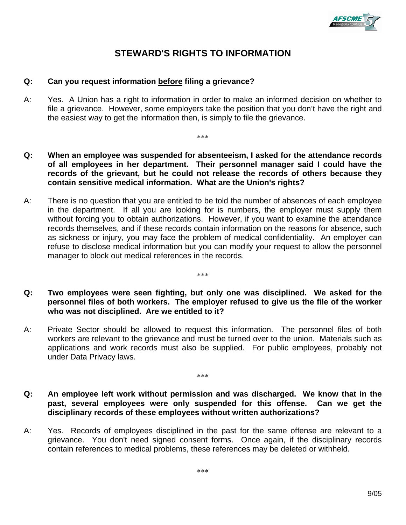

# **STEWARD'S RIGHTS TO INFORMATION**

## **Q: Can you request information before filing a grievance?**

A: Yes. A Union has a right to information in order to make an informed decision on whether to file a grievance. However, some employers take the position that you don't have the right and the easiest way to get the information then, is simply to file the grievance.

∗∗∗

- **Q: When an employee was suspended for absenteeism, I asked for the attendance records of all employees in her department. Their personnel manager said I could have the records of the grievant, but he could not release the records of others because they contain sensitive medical information. What are the Union's rights?**
- A: There is no question that you are entitled to be told the number of absences of each employee in the department. If all you are looking for is numbers, the employer must supply them without forcing you to obtain authorizations. However, if you want to examine the attendance records themselves, and if these records contain information on the reasons for absence, such as sickness or injury, you may face the problem of medical confidentiality. An employer can refuse to disclose medical information but you can modify your request to allow the personnel manager to block out medical references in the records.
- **Q: Two employees were seen fighting, but only one was disciplined. We asked for the personnel files of both workers. The employer refused to give us the file of the worker who was not disciplined. Are we entitled to it?**

∗∗∗

- A: Private Sector should be allowed to request this information. The personnel files of both workers are relevant to the grievance and must be turned over to the union. Materials such as applications and work records must also be supplied. For public employees, probably not under Data Privacy laws.
- **Q: An employee left work without permission and was discharged. We know that in the past, several employees were only suspended for this offense. Can we get the disciplinary records of these employees without written authorizations?**

∗∗∗

A: Yes. Records of employees disciplined in the past for the same offense are relevant to a grievance. You don't need signed consent forms. Once again, if the disciplinary records contain references to medical problems, these references may be deleted or withheld.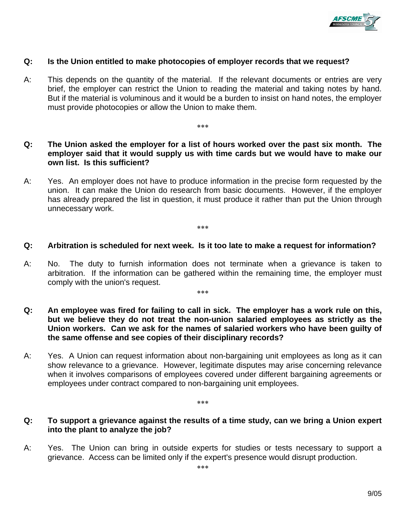

## **Q: Is the Union entitled to make photocopies of employer records that we request?**

- A: This depends on the quantity of the material. If the relevant documents or entries are very brief, the employer can restrict the Union to reading the material and taking notes by hand. But if the material is voluminous and it would be a burden to insist on hand notes, the employer must provide photocopies or allow the Union to make them.
- **Q: The Union asked the employer for a list of hours worked over the past six month. The employer said that it would supply us with time cards but we would have to make our own list. Is this sufficient?**

∗∗∗

A: Yes. An employer does not have to produce information in the precise form requested by the union. It can make the Union do research from basic documents. However, if the employer has already prepared the list in question, it must produce it rather than put the Union through unnecessary work.

∗∗∗

## **Q: Arbitration is scheduled for next week. Is it too late to make a request for information?**

A: No. The duty to furnish information does not terminate when a grievance is taken to arbitration. If the information can be gathered within the remaining time, the employer must comply with the union's request.

∗∗∗

- **Q: An employee was fired for failing to call in sick. The employer has a work rule on this, but we believe they do not treat the non-union salaried employees as strictly as the Union workers. Can we ask for the names of salaried workers who have been guilty of the same offense and see copies of their disciplinary records?**
- A: Yes. A Union can request information about non-bargaining unit employees as long as it can show relevance to a grievance. However, legitimate disputes may arise concerning relevance when it involves comparisons of employees covered under different bargaining agreements or employees under contract compared to non-bargaining unit employees.

#### ∗∗∗

## **Q: To support a grievance against the results of a time study, can we bring a Union expert into the plant to analyze the job?**

A: Yes. The Union can bring in outside experts for studies or tests necessary to support a grievance. Access can be limited only if the expert's presence would disrupt production.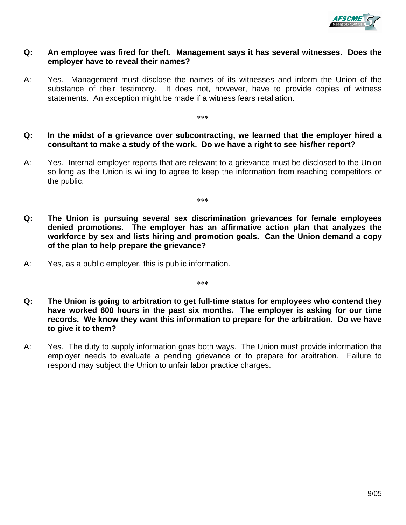

## **Q: An employee was fired for theft. Management says it has several witnesses. Does the employer have to reveal their names?**

- A: Yes. Management must disclose the names of its witnesses and inform the Union of the substance of their testimony. It does not, however, have to provide copies of witness statements. An exception might be made if a witness fears retaliation.
- **Q: In the midst of a grievance over subcontracting, we learned that the employer hired a consultant to make a study of the work. Do we have a right to see his/her report?**

∗∗∗

A: Yes. Internal employer reports that are relevant to a grievance must be disclosed to the Union so long as the Union is willing to agree to keep the information from reaching competitors or the public.

∗∗∗

- **Q: The Union is pursuing several sex discrimination grievances for female employees denied promotions. The employer has an affirmative action plan that analyzes the workforce by sex and lists hiring and promotion goals. Can the Union demand a copy of the plan to help prepare the grievance?**
- A: Yes, as a public employer, this is public information.

∗∗∗

- **Q: The Union is going to arbitration to get full-time status for employees who contend they have worked 600 hours in the past six months. The employer is asking for our time records. We know they want this information to prepare for the arbitration. Do we have to give it to them?**
- A: Yes. The duty to supply information goes both ways. The Union must provide information the employer needs to evaluate a pending grievance or to prepare for arbitration. Failure to respond may subject the Union to unfair labor practice charges.